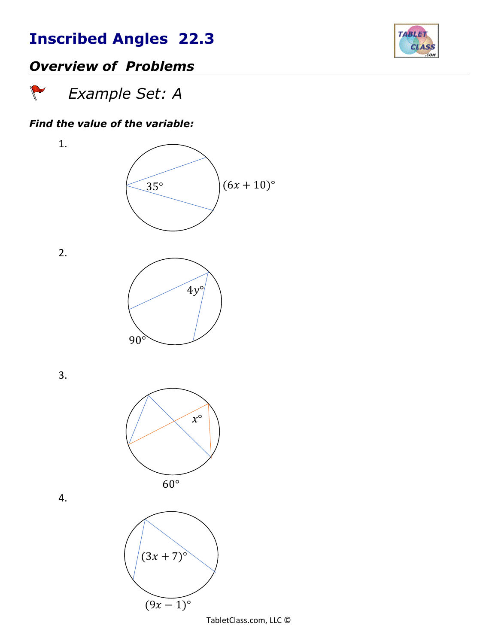

## *Overview of Problems*

 *Example Set: A* 

#### *Find the value of the variable:*

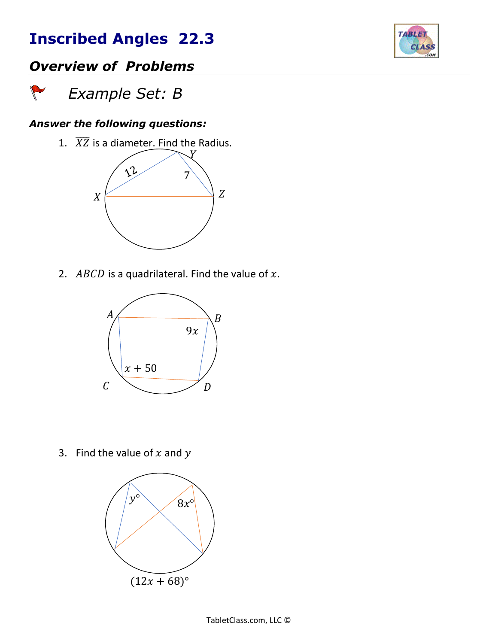

## *Overview of Problems*

 *Example Set: B*

 $\sqrt{}$ 

#### *Answer the following questions:*

1.  $\overline{XZ}$  is a diameter. Find the Radius.



2.  $ABCD$  is a quadrilateral. Find the value of  $x$ .



3. Find the value of  $x$  and  $y$ 

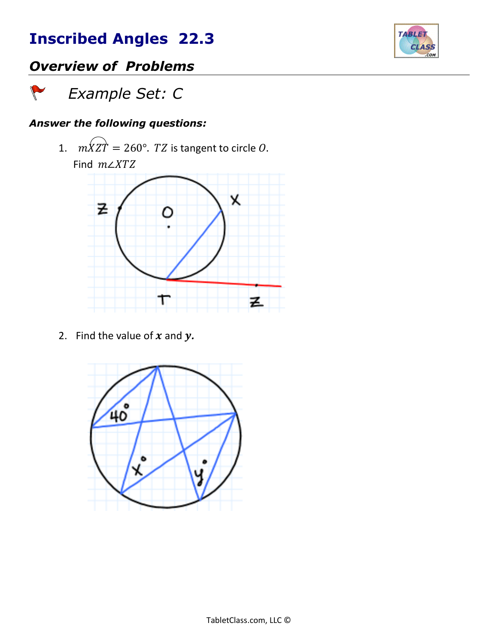

## *Overview of Problems*

 *Example Set: C*

 $\sqrt{2}$ 

### *Answer the following questions:*

1.  $m\overleftrightarrow{X}Z\overrightarrow{T} = 260^\circ$ . *TZ* is tangent to circle *O*.



2. Find the value of  $x$  and  $y$ .

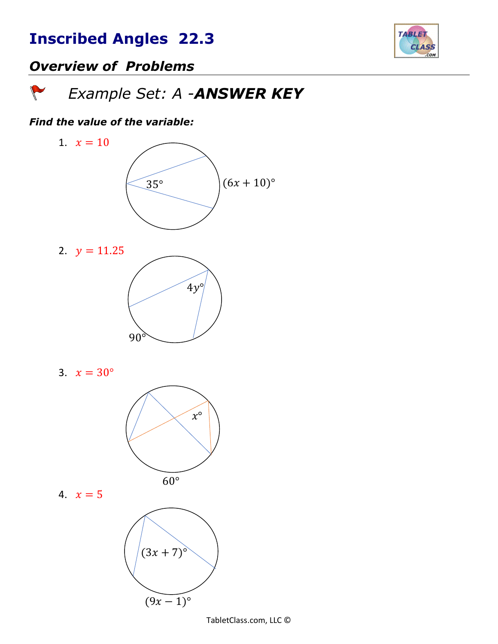

## *Overview of Problems*

 *Example Set: A -ANSWER KEY* 

#### *Find the value of the variable:*





3. 
$$
x = 30^{\circ}
$$



$$
4. \quad x=5
$$

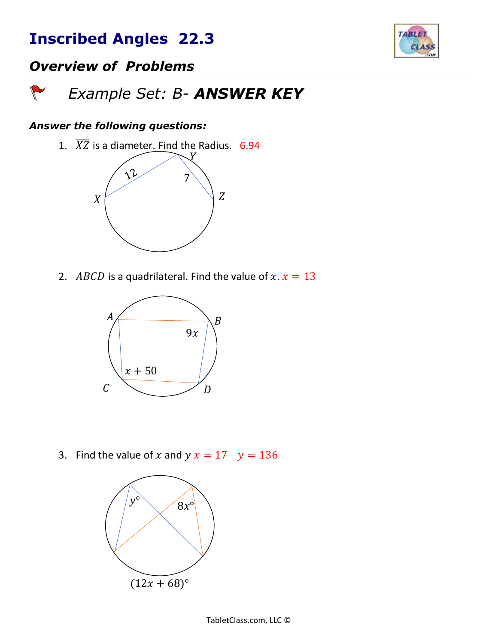

## *Overview of Problems*

#### *Example Set: B- ANSWER KEY*  $\sqrt{2}$

#### *Answer the following questions:*

1.  $\overline{XZ}$  is a diameter. Find the Radius. 6.94



2. ABCD is a quadrilateral. Find the value of  $x$ .  $x = 13$ 



3. Find the value of x and  $y x = 17$   $y = 136$